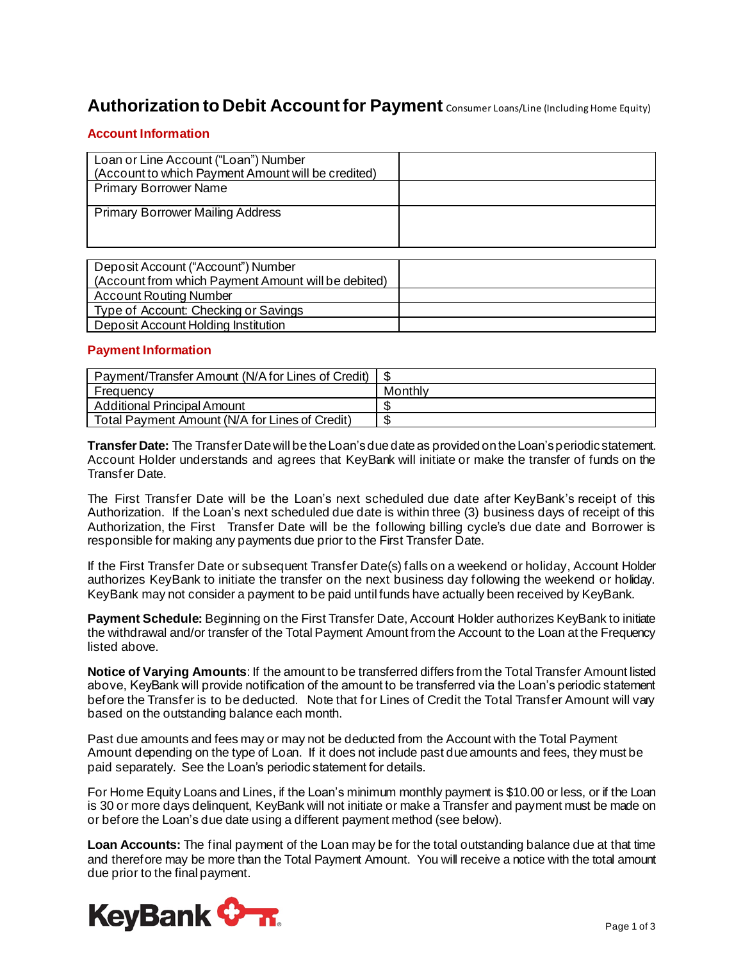# **Authorization to Debit Account for Payment** Consumer Loans/Line (Including Home Equity)

### **Account Information**

| Loan or Line Account ("Loan") Number<br>(Account to which Payment Amount will be credited) |  |
|--------------------------------------------------------------------------------------------|--|
| <b>Primary Borrower Name</b>                                                               |  |
| <b>Primary Borrower Mailing Address</b>                                                    |  |

| Deposit Account ("Account") Number<br>(Account from which Payment Amount will be debited) |  |
|-------------------------------------------------------------------------------------------|--|
| <b>Account Routing Number</b>                                                             |  |
| Type of Account: Checking or Savings                                                      |  |
| Deposit Account Holding Institution                                                       |  |

### **Payment Information**

| Payment/Transfer Amount (N/A for Lines of Credit) |         |
|---------------------------------------------------|---------|
| Frequency                                         | Monthly |
| <b>Additional Principal Amount</b>                |         |
| Total Payment Amount (N/A for Lines of Credit)    |         |

**Transfer Date:** The Transfer Date will be the Loan's due date as provided on the Loan's periodic statement. Account Holder understands and agrees that KeyBank will initiate or make the transfer of funds on the Transfer Date.

The First Transfer Date will be the Loan's next scheduled due date after KeyBank's receipt of this Authorization. If the Loan's next scheduled due date is within three (3) business days of receipt of this Authorization, the First Transfer Date will be the following billing cycle's due date and Borrower is responsible for making any payments due prior to the First Transfer Date.

If the First Transfer Date or subsequent Transfer Date(s) falls on a weekend or holiday, Account Holder authorizes KeyBank to initiate the transfer on the next business day following the weekend or holiday. KeyBank may not consider a payment to be paid until funds have actually been received by KeyBank.

**Payment Schedule:** Beginning on the First Transfer Date, Account Holder authorizes KeyBank to initiate the withdrawal and/or transfer of the Total Payment Amount from the Account to the Loan at the Frequency listed above.

**Notice of Varying Amounts**: If the amount to be transferred differs from the Total Transfer Amount listed above, KeyBank will provide notification of the amount to be transferred via the Loan's periodic statement before the Transfer is to be deducted. Note that for Lines of Credit the Total Transfer Amount will vary based on the outstanding balance each month.

Past due amounts and fees may or may not be deducted from the Account with the Total Payment Amount depending on the type of Loan. If it does not include past due amounts and fees, they must be paid separately. See the Loan's periodic statement for details.

For Home Equity Loans and Lines, if the Loan's minimum monthly payment is \$10.00 or less, or if the Loan is 30 or more days delinquent, KeyBank will not initiate or make a Transfer and payment must be made on or before the Loan's due date using a different payment method (see below).

**Loan Accounts:** The final payment of the Loan may be for the total outstanding balance due at that time and therefore may be more than the Total Payment Amount. You will receive a notice with the total amount due prior to the final payment.

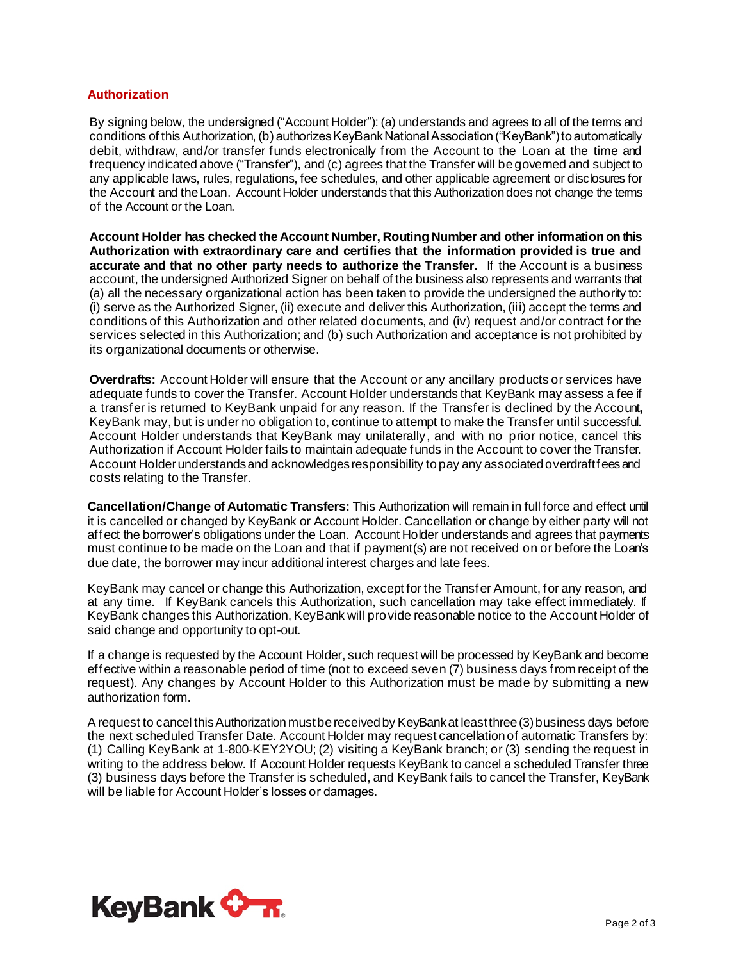#### **Authorization**

By signing below, the undersigned ("Account Holder"): (a) understands and agrees to all of the terms and conditions of this Authorization, (b) authorizes KeyBank National Association ("KeyBank") to automatically debit, withdraw, and/or transfer funds electronically from the Account to the Loan at the time and frequency indicated above ("Transfer"), and (c) agrees that the Transfer will be governed and subject to any applicable laws, rules, regulations, fee schedules, and other applicable agreement or disclosures for the Account and the Loan. Account Holder understands that this Authorization does not change the terms of the Account or the Loan.

**Account Holder has checked the Account Number, Routing Number and other information on this Authorization with extraordinary care and certifies that the information provided is true and accurate and that no other party needs to authorize the Transfer.** If the Account is a business account, the undersigned Authorized Signer on behalf of the business also represents and warrants that (a) all the necessary organizational action has been taken to provide the undersigned the authority to: (i) serve as the Authorized Signer, (ii) execute and deliver this Authorization, (iii) accept the terms and conditions of this Authorization and other related documents, and (iv) request and/or contract for the services selected in this Authorization; and (b) such Authorization and acceptance is not prohibited by its organizational documents or otherwise.

**Overdrafts:** Account Holder will ensure that the Account or any ancillary products or services have adequate funds to cover the Transfer. Account Holder understands that KeyBank may assess a fee if a transfer is returned to KeyBank unpaid for any reason. If the Transfer is declined by the Account**,**  KeyBank may, but is under no obligation to, continue to attempt to make the Transfer until successful. Account Holder understands that KeyBank may unilaterally, and with no prior notice, cancel this Authorization if Account Holder fails to maintain adequate funds in the Account to cover the Transfer. Account Holder understands and acknowledges responsibility to pay any associated overdraft fees and costs relating to the Transfer.

**Cancellation/Change of Automatic Transfers:** This Authorization will remain in full force and effect until it is cancelled or changed by KeyBank or Account Holder. Cancellation or change by either party will not affect the borrower's obligations under the Loan. Account Holder understands and agrees that payments must continue to be made on the Loan and that if payment(s) are not received on or before the Loan's due date, the borrower may incur additional interest charges and late fees.

KeyBank may cancel or change this Authorization, except for the Transfer Amount, for any reason, and at any time. If KeyBank cancels this Authorization, such cancellation may take effect immediately. If KeyBank changes this Authorization, KeyBank will provide reasonable notice to the Account Holder of said change and opportunity to opt-out.

If a change is requested by the Account Holder, such request will be processed by KeyBank and become effective within a reasonable period of time (not to exceed seven (7) business days from receipt of the request). Any changes by Account Holder to this Authorization must be made by submitting a new authorization form.

A request to cancel this Authorization must be received by KeyBank at least three (3) business days before the next scheduled Transfer Date. Account Holder may request cancellation of automatic Transfers by: (1) Calling KeyBank at 1-800-KEY2YOU; (2) visiting a KeyBank branch; or (3) sending the request in writing to the address below. If Account Holder requests KeyBank to cancel a scheduled Transfer three (3) business days before the Transfer is scheduled, and KeyBank fails to cancel the Transfer, KeyBank will be liable for Account Holder's losses or damages.